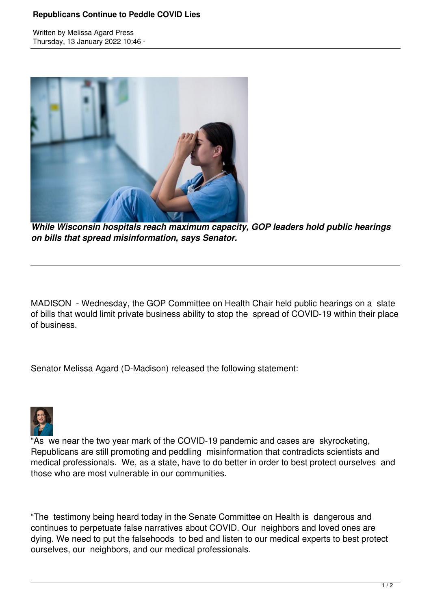## **Republicans Continue to Peddle COVID Lies**

Written by Melissa Agard Press Thursday, 13 January 2022 10:46 -



*While Wisconsin hospitals reach maximum capacity, GOP leaders hold public hearings on bills that spread misinformation, says Senator.*

MADISON - Wednesday, the GOP Committee on Health Chair held public hearings on a slate of bills that would limit private business ability to stop the spread of COVID-19 within their place of business.

Senator Melissa Agard (D-Madison) released the following statement:



"As we near the two year mark of the COVID-19 pandemic and cases are skyrocketing, Republicans are still promoting and peddling misinformation that contradicts scientists and medical professionals. We, as a state, have to do better in order to best protect ourselves and those who are most vulnerable in our communities.

"The testimony being heard today in the Senate Committee on Health is dangerous and continues to perpetuate false narratives about COVID. Our neighbors and loved ones are dying. We need to put the falsehoods to bed and listen to our medical experts to best protect ourselves, our neighbors, and our medical professionals.